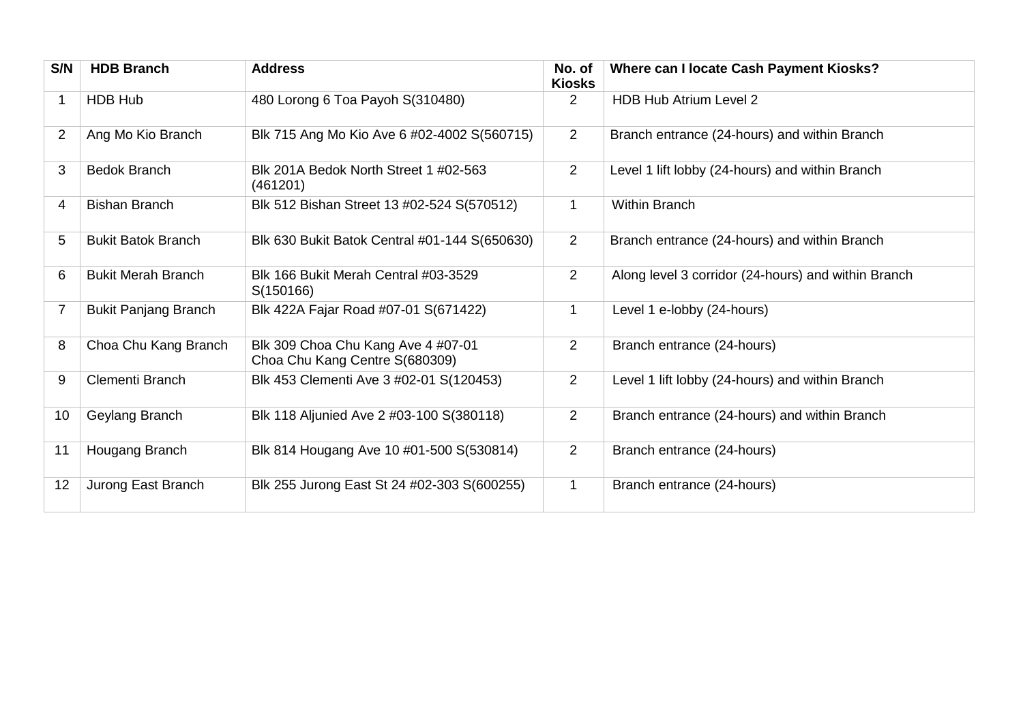| S/N            | <b>HDB Branch</b>           | <b>Address</b>                                                       | No. of<br><b>Kiosks</b> | Where can I locate Cash Payment Kiosks?             |
|----------------|-----------------------------|----------------------------------------------------------------------|-------------------------|-----------------------------------------------------|
| 1              | <b>HDB Hub</b>              | 480 Lorong 6 Toa Payoh S(310480)                                     | $\overline{2}$          | <b>HDB Hub Atrium Level 2</b>                       |
| 2              | Ang Mo Kio Branch           | Blk 715 Ang Mo Kio Ave 6 #02-4002 S(560715)                          | $\overline{2}$          | Branch entrance (24-hours) and within Branch        |
| 3              | <b>Bedok Branch</b>         | Blk 201A Bedok North Street 1 #02-563<br>(461201)                    | $\overline{2}$          | Level 1 lift lobby (24-hours) and within Branch     |
| 4              | <b>Bishan Branch</b>        | Blk 512 Bishan Street 13 #02-524 S(570512)                           | $\mathbf{1}$            | <b>Within Branch</b>                                |
| 5              | <b>Bukit Batok Branch</b>   | Blk 630 Bukit Batok Central #01-144 S(650630)                        | $\overline{2}$          | Branch entrance (24-hours) and within Branch        |
| 6              | <b>Bukit Merah Branch</b>   | Blk 166 Bukit Merah Central #03-3529<br>S(150166)                    | 2                       | Along level 3 corridor (24-hours) and within Branch |
| $\overline{7}$ | <b>Bukit Panjang Branch</b> | Blk 422A Fajar Road #07-01 S(671422)                                 | 1                       | Level 1 e-lobby (24-hours)                          |
| 8              | Choa Chu Kang Branch        | Blk 309 Choa Chu Kang Ave 4 #07-01<br>Choa Chu Kang Centre S(680309) | $\overline{2}$          | Branch entrance (24-hours)                          |
| 9              | Clementi Branch             | Blk 453 Clementi Ave 3 #02-01 S(120453)                              | $\overline{2}$          | Level 1 lift lobby (24-hours) and within Branch     |
| 10             | Geylang Branch              | Blk 118 Aljunied Ave 2 #03-100 S(380118)                             | 2                       | Branch entrance (24-hours) and within Branch        |
| 11             | Hougang Branch              | Blk 814 Hougang Ave 10 #01-500 S(530814)                             | $\overline{2}$          | Branch entrance (24-hours)                          |
| 12             | Jurong East Branch          | Blk 255 Jurong East St 24 #02-303 S(600255)                          | $\mathbf{1}$            | Branch entrance (24-hours)                          |